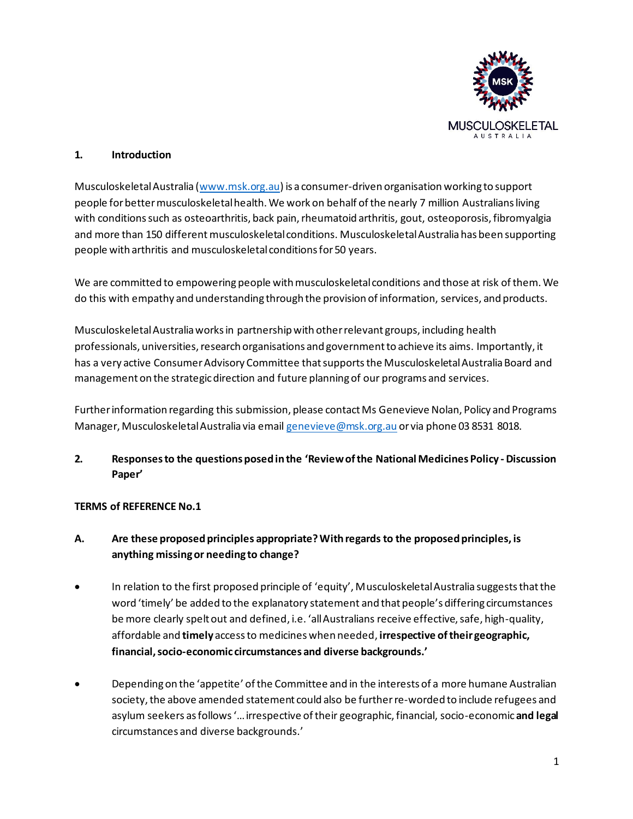

#### **1. Introduction**

Musculoskeletal Australia [\(www.msk.org.au](http://www.msk.org.au/)) is a consumer-driven organisation working to support people for better musculoskeletal health. We work on behalf of the nearly 7 million Australians living with conditions such as osteoarthritis, back pain, rheumatoid arthritis, gout, osteoporosis, fibromyalgia and more than 150 different musculoskeletal conditions. Musculoskeletal Australia has been supporting people with arthritis and musculoskeletal conditions for 50 years.

We are committed to empowering people with musculoskeletal conditions and those at risk of them. We do this with empathy and understanding through the provision of information, services, and products.

Musculoskeletal Australia works in partnership with other relevant groups, including health professionals, universities, research organisations and government to achieve its aims. Importantly, it has a very active Consumer Advisory Committee that supports the Musculoskeletal Australia Board and management on the strategic direction and future planning of our programs and services.

Further information regarding this submission, please contact Ms Genevieve Nolan, Policy and Programs Manager, Musculoskeletal Australia via email [genevieve@msk.org.au](mailto:genevieve@msk.org.au) or via phone 03 8531 8018.

## **2. Responses to the questions posed in the 'Review of the National Medicines Policy - Discussion Paper'**

### **TERMS of REFERENCE No.1**

## **A. Are these proposed principles appropriate? With regards to the proposed principles, is anything missing or needing to change?**

- In relation to the first proposed principle of 'equity', Musculoskeletal Australia suggests that the word 'timely' be added to the explanatory statement and that people's differing circumstances be more clearly spelt out and defined, i.e. 'all Australians receive effective, safe, high-quality, affordable and **timely** access to medicines when needed, **irrespective of their geographic, financial, socio-economic circumstances and diverse backgrounds.'**
- Depending on the 'appetite' of the Committee and in the interests of a more humane Australian society, the above amended statement could also be further re-worded to include refugees and asylum seekers as follows'… irrespective of their geographic, financial, socio-economic**and legal** circumstances and diverse backgrounds.'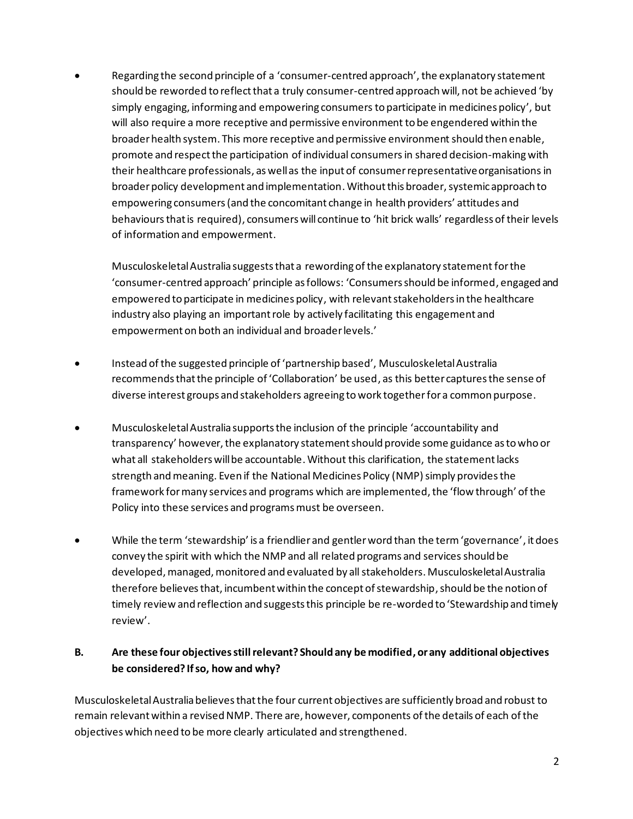• Regarding the second principle of a 'consumer-centred approach', the explanatory statement should be reworded to reflect that a truly consumer-centred approach will, not be achieved 'by simply engaging, informing and empowering consumersto participate in medicines policy', but will also require a more receptive and permissive environment to be engendered within the broader health system. This more receptive and permissive environment should then enable, promote and respectthe participation of individual consumers in shared decision-making with their healthcare professionals, as well as the input of consumer representative organisations in broader policy development and implementation. Without this broader, systemic approach to empowering consumers (and the concomitant change in health providers' attitudes and behavioursthat is required), consumers will continue to 'hit brick walls' regardless of their levels of information and empowerment.

Musculoskeletal Australia suggests that a rewording of the explanatory statement for the 'consumer-centred approach' principle as follows: 'Consumers should be informed, engaged and empowered to participate in medicines policy, with relevant stakeholders in the healthcare industry also playing an important role by actively facilitating this engagement and empowerment on both an individual and broader levels.'

- Instead of the suggested principle of 'partnership based', Musculoskeletal Australia recommends that the principle of 'Collaboration' be used, as this better captures the sense of diverse interest groups and stakeholders agreeing to work togetherfor a common purpose.
- Musculoskeletal Australia supports the inclusion of the principle 'accountability and transparency' however, the explanatory statement should provide some guidance as to who or what all stakeholders will be accountable. Without this clarification, the statement lacks strength and meaning. Even if the National Medicines Policy (NMP) simply provides the framework for many services and programs which are implemented, the 'flow through' of the Policy into these services and programs must be overseen.
- While the term 'stewardship' is a friendlier and gentler word than the term 'governance', it does convey the spirit with which the NMP and all related programs and services should be developed, managed, monitored and evaluated by all stakeholders. Musculoskeletal Australia therefore believes that, incumbent within the concept of stewardship, should be the notion of timely review and reflection and suggests this principle be re-worded to 'Stewardship and timely review'.

# **B. Are these four objectives still relevant? Should any be modified, or any additional objectives be considered? If so, how and why?**

Musculoskeletal Australia believes that the four current objectives are sufficiently broad and robust to remain relevant within a revised NMP. There are, however, components of the details of each of the objectives which need to be more clearly articulated and strengthened.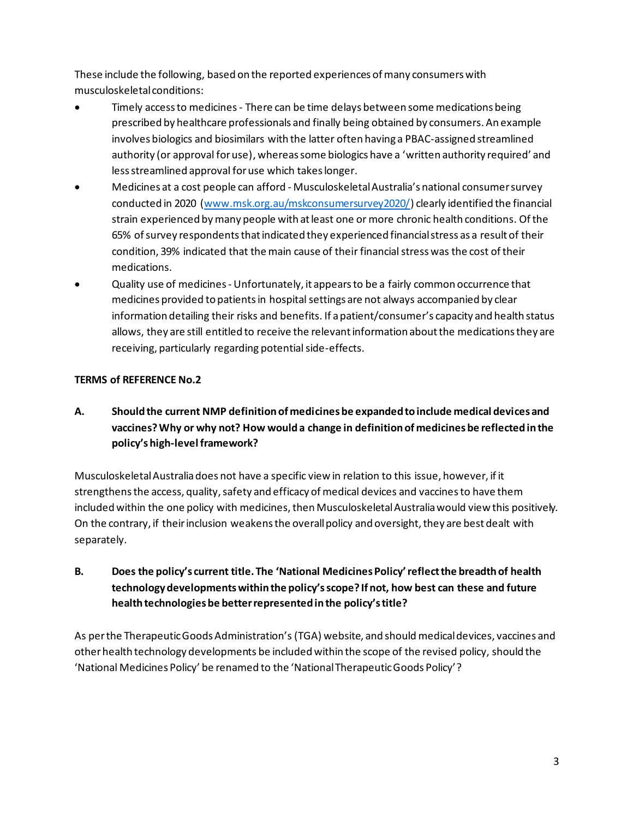These include the following, based on the reported experiences of many consumers with musculoskeletal conditions:

- Timely access to medicines There can be time delays between some medications being prescribed by healthcare professionals and finally being obtained by consumers. An example involves biologics and biosimilars with the latter often having a PBAC-assigned streamlined authority (or approval for use), whereas some biologics have a 'written authority required' and less streamlined approval for use which takes longer.
- Medicines at a cost people can afford Musculoskeletal Australia's national consumer survey conducted in 2020 [\(www.msk.org.au/mskconsumersurvey2020/\)](http://www.msk.org.au/mskconsumersurvey2020/) clearly identified the financial strain experienced by many people with at least one or more chronic health conditions. Of the 65% of survey respondents that indicated they experienced financial stress as a result of their condition, 39% indicated that the main cause of their financial stress was the cost of their medications.
- Quality use of medicines Unfortunately, it appears to be a fairly common occurrence that medicines provided to patients in hospital settings are not always accompanied by clear information detailing their risks and benefits. If a patient/consumer's capacity and health status allows, they are still entitled to receive the relevant information about the medications they are receiving, particularly regarding potential side-effects.

## **TERMS of REFERENCE No.2**

**A. Should the current NMP definition of medicines be expanded to include medical devices and vaccines? Why or why not? How would a change in definition of medicines be reflected in the policy's high-level framework?**

Musculoskeletal Australia does not have a specific view in relation to this issue, however, if it strengthensthe access, quality, safety and efficacy of medical devices and vaccinesto have them included within the one policy with medicines, then Musculoskeletal Australia would view this positively. On the contrary, if their inclusion weakens the overall policy and oversight, they are best dealt with separately.

# **B. Does the policy's current title. The 'National Medicines Policy' reflect the breadth of health technology developments within the policy's scope? If not, how best can these and future health technologies be better represented in the policy's title?**

As per the Therapeutic Goods Administration's (TGA) website, and should medical devices, vaccines and otherhealth technology developments be included within the scope of the revised policy, should the 'National Medicines Policy' be renamed to the 'National Therapeutic Goods Policy'?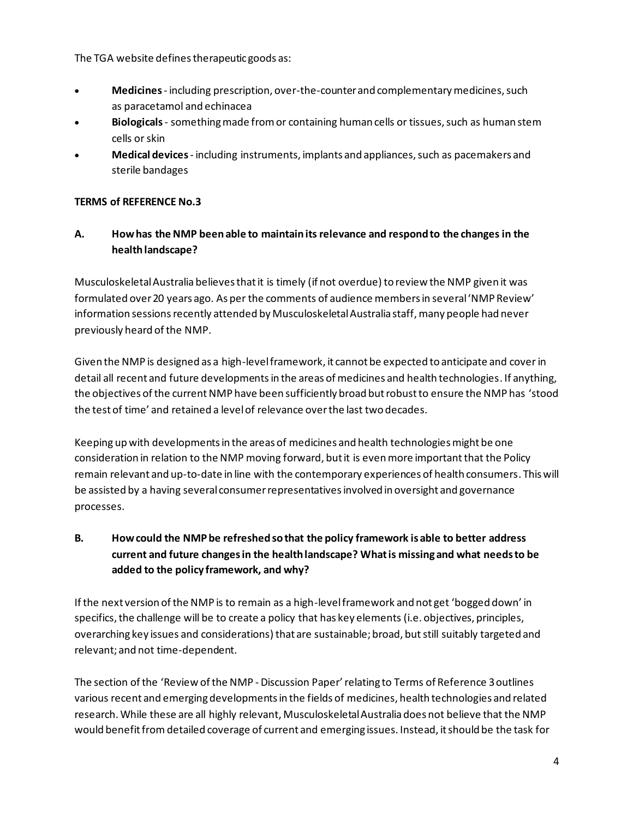The TGA website defines therapeutic goods as:

- **Medicines** including prescription, over-the-counter and complementary medicines, such as paracetamol and echinacea
- **Biologicals** something made from or containing human cells or tissues, such as human stem cells or skin
- **Medical devices** including instruments, implants and appliances, such as pacemakers and sterile bandages

### **TERMS of REFERENCE No.3**

## **A. How has the NMP been able to maintain its relevance and respond to the changes in the health landscape?**

Musculoskeletal Australia believes that it is timely (if not overdue) to review the NMP given it was formulated over 20 years ago. As per the comments of audience members in several 'NMP Review' information sessions recently attended by Musculoskeletal Australia staff, many people had never previously heard of the NMP.

Given the NMP is designed as a high-level framework, it cannot be expected to anticipate and cover in detail all recent and future developmentsin the areas of medicines and health technologies. If anything, the objectives of the current NMP have been sufficiently broad but robust to ensure the NMP has 'stood the test of time' and retained a level of relevance over the last two decades.

Keeping up with developments in the areas of medicines and health technologies might be one consideration in relation to the NMP moving forward, but it is even more important that the Policy remain relevant and up-to-date in line with the contemporary experiences of health consumers. This will be assisted by a having several consumer representatives involved in oversight and governance processes.

# **B. How could the NMP be refreshed so that the policy framework is able to better address current and future changes in the health landscape? What is missing and what needs to be added to the policy framework, and why?**

If the next version of the NMP is to remain as a high-level framework and not get 'bogged down' in specifics, the challenge will be to create a policy that has key elements (i.e. objectives, principles, overarching key issues and considerations) that are sustainable; broad, but still suitably targeted and relevant; and not time-dependent.

The section of the 'Review of the NMP - Discussion Paper' relating to Terms of Reference 3outlines various recent and emerging developments in the fields of medicines, health technologies and related research. While these are all highly relevant, Musculoskeletal Australia does not believe that the NMP would benefit fromdetailed coverage of current and emerging issues. Instead, it should be the task for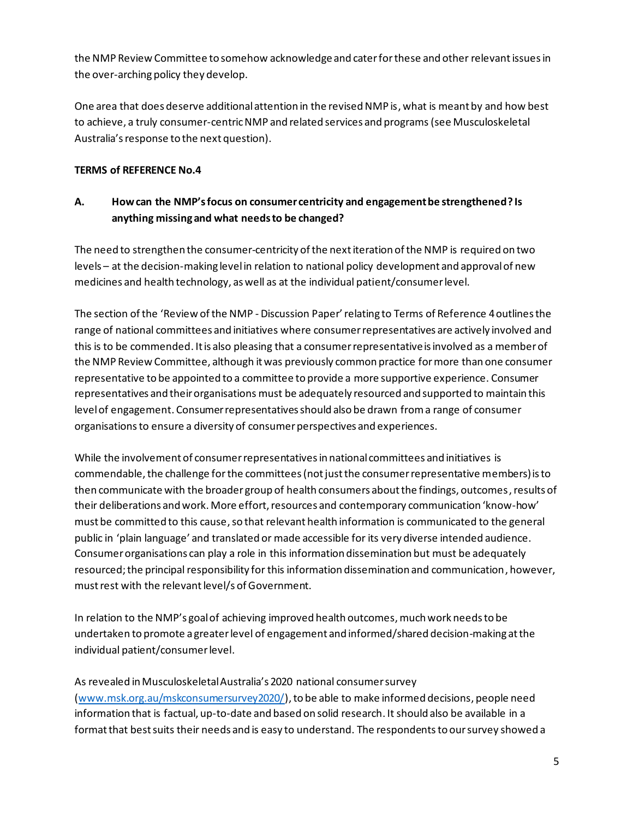the NMP Review Committee to somehow acknowledgeand cater forthese and other relevant issuesin the over-arching policy they develop.

One area that does deserve additional attention in the revised NMP is, what is meant by and how best to achieve, a truly consumer-centricNMP and related services and programs(see Musculoskeletal Australia's response to the next question).

### **TERMS of REFERENCE No.4**

## **A. How can the NMP's focus on consumer centricity and engagement be strengthened? Is anything missing and what needs to be changed?**

The need to strengthen the consumer-centricity of the next iteration of the NMP is required on two levels – at the decision-making level in relation to national policy development and approval of new medicines and health technology, as well as at the individual patient/consumer level.

The section of the 'Review of the NMP - Discussion Paper' relating to Terms of Reference 4outlines the range of national committees and initiatives where consumer representatives are actively involved and this is to be commended. It is also pleasing that a consumer representative is involved as a member of the NMP Review Committee, although it was previously common practice for more than one consumer representative to be appointed to a committee to provide a more supportive experience. Consumer representatives and their organisations must be adequately resourced and supported to maintain this level of engagement. Consumer representatives should also be drawn from a range of consumer organisations to ensure a diversity of consumer perspectives and experiences.

While the involvement of consumer representatives in national committees and initiatives is commendable, the challenge for the committees (not just the consumer representative members) is to then communicate with the broader group of health consumers about the findings, outcomes, results of their deliberations and work. More effort, resources and contemporary communication 'know-how' must be committed to this cause, so that relevant health information is communicated to the general public in 'plain language' and translated or made accessible for its very diverse intended audience. Consumer organisations can play a role in this information dissemination but must be adequately resourced; the principal responsibility for this information dissemination and communication, however, must rest with the relevant level/s of Government.

In relation to the NMP's goal of achieving improved health outcomes, much work needs to be undertaken to promote a greater level of engagement and informed/shared decision-making at the individual patient/consumer level.

As revealed in Musculoskeletal Australia's 2020 national consumer survey [\(www.msk.org.au/mskconsumersurvey2020/\)](http://www.msk.org.au/mskconsumersurvey2020/), to be able to make informed decisions, people need information that is factual, up-to-date and based on solid research. It should also be available in a format that best suits their needs and is easy to understand. The respondents to our survey showed a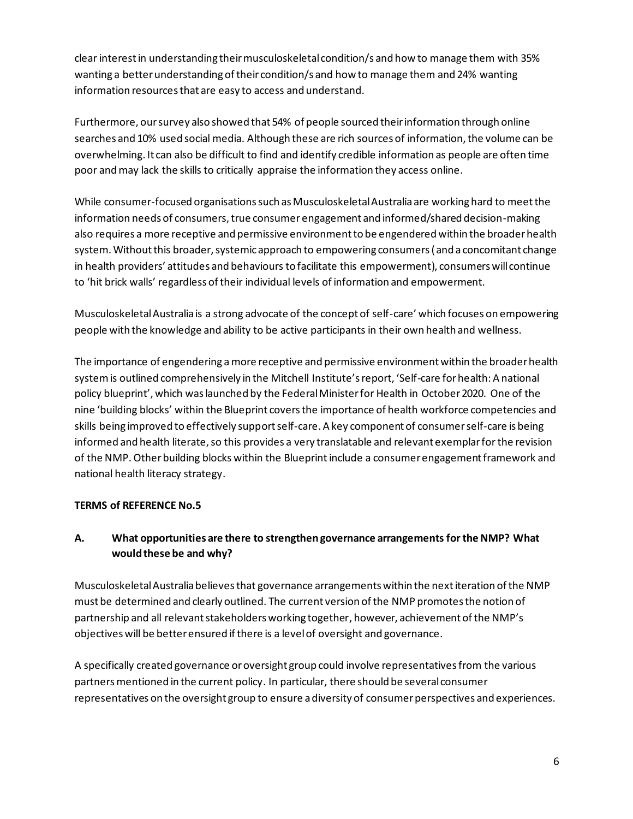clear interest in understanding their musculoskeletal condition/s and how to manage them with 35% wanting a better understanding of their condition/s and how to manage them and 24% wanting information resources that are easy to access and understand.

Furthermore, our survey also showed that 54% of people sourced their information through online searches and 10% used social media. Although these are rich sources of information, the volume can be overwhelming. It can also be difficult to find and identify credible information as people are often time poor and may lack the skills to critically appraise the information they access online.

While consumer-focused organisations such as Musculoskeletal Australia are working hard to meet the information needs of consumers, true consumer engagement and informed/shared decision-making also requires a more receptive and permissive environment to be engendered within the broader health system. Without this broader, systemic approach to empowering consumers (and a concomitant change in health providers' attitudes and behaviours to facilitate this empowerment), consumers will continue to 'hit brick walls' regardless of their individual levels of information and empowerment.

Musculoskeletal Australia is a strong advocate of the concept of self-care' which focuses on empowering people with the knowledge and ability to be active participants in their own health and wellness.

The importance of engendering a more receptive and permissive environment within the broader health systemis outlined comprehensively in the Mitchell Institute's report, 'Self-care for health: A national policy blueprint', which was launched by the Federal Minister for Health in October 2020. One of the nine 'building blocks' within the Blueprint covers the importance of health workforce competencies and skills being improved to effectively support self-care. A key component of consumerself-care is being informed and health literate, so this provides a very translatable and relevant exemplar forthe revision of the NMP. Other building blocks within the Blueprintinclude a consumer engagement framework and national health literacy strategy.

### **TERMS of REFERENCE No.5**

# **A. What opportunities are there to strengthen governance arrangements for the NMP? What would these be and why?**

Musculoskeletal Australia believes that governance arrangements within the next iteration of the NMP must be determined and clearly outlined. The current version of the NMP promotes the notion of partnership and all relevant stakeholders working together, however, achievement of the NMP's objectives will be better ensured if there is a level of oversight and governance.

A specifically created governance or oversight group could involve representatives from the various partners mentioned in the current policy. In particular, there should be several consumer representatives on the oversight group to ensure a diversity of consumer perspectives and experiences.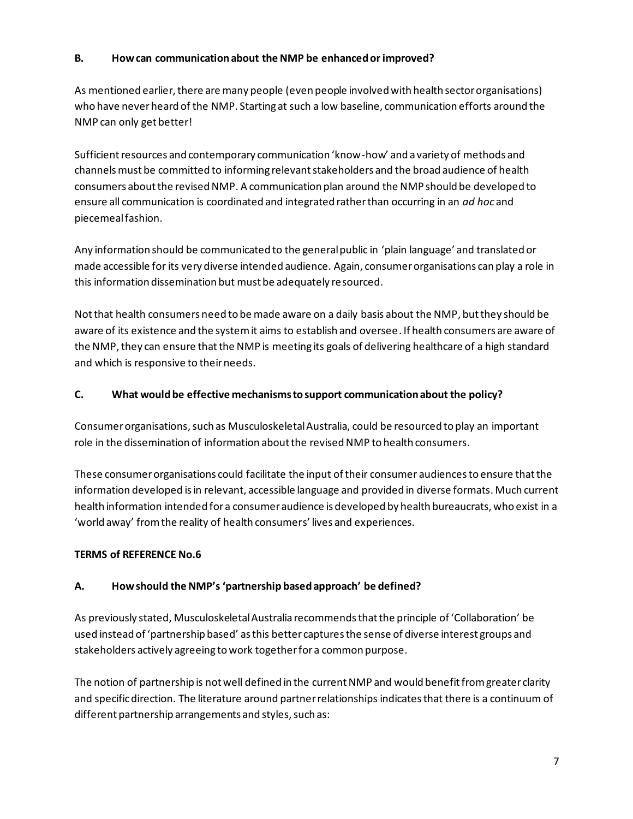### **B. How can communication about the NMP be enhanced or improved?**

As mentioned earlier, there are many people (even people involved with health sector organisations) who have never heard of the NMP. Starting at such a low baseline, communication efforts around the NMP can only get better!

Sufficient resources and contemporary communication 'know-how' and a variety of methods and channels must be committed to informing relevant stakeholders and the broad audience of health consumers about the revised NMP. A communication plan around the NMP should be developed to ensure all communication is coordinated and integrated rather than occurring in an *ad hoc* and piecemeal fashion.

Any information should be communicated to the general public in 'plain language' and translated or made accessible for its very diverse intended audience. Again, consumer organisations can play a role in this information dissemination but must be adequately resourced.

Not that health consumers need to be made aware on a daily basis about the NMP, but they should be aware of its existence and the system it aims to establish and oversee. If health consumers are aware of the NMP, they can ensure that the NMP is meeting its goals of delivering healthcare of a high standard and which is responsive to theirneeds.

### **C. What would be effective mechanisms to support communication about the policy?**

Consumer organisations, such as Musculoskeletal Australia, could be resourced to play an important role in the dissemination of information about the revised NMP to health consumers.

These consumer organisations could facilitate the input of their consumer audiencesto ensure that the information developed is in relevant, accessible language and provided in diverse formats. Much current health information intended for a consumer audience is developed by health bureaucrats, who exist in a 'world away' from the reality of health consumers' lives and experiences.

### **TERMS of REFERENCE No.6**

## **A. How should the NMP's 'partnership based approach' be defined?**

As previously stated, Musculoskeletal Australia recommends that the principle of 'Collaboration' be used instead of 'partnership based' as this better captures the sense of diverse interest groups and stakeholders actively agreeing to work together for a common purpose.

The notion of partnership is not well defined in the current NMP and would benefit from greater clarity and specific direction. The literature around partner relationships indicates that there is a continuum of different partnership arrangements and styles, such as: